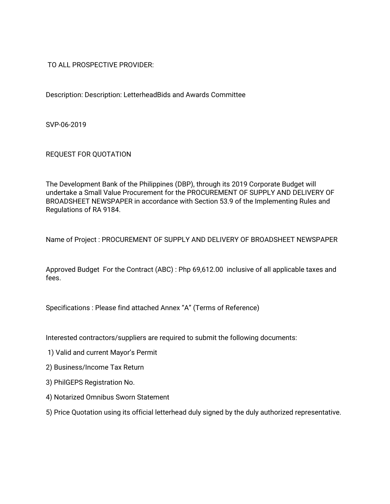TO ALL PROSPECTIVE PROVIDER:

Description: Description: LetterheadBids and Awards Committee

SVP-06-2019

REQUEST FOR QUOTATION

The Development Bank of the Philippines (DBP), through its 2019 Corporate Budget will undertake a Small Value Procurement for the PROCUREMENT OF SUPPLY AND DELIVERY OF BROADSHEET NEWSPAPER in accordance with Section 53.9 of the Implementing Rules and Regulations of RA 9184.

Name of Project: PROCUREMENT OF SUPPLY AND DELIVERY OF BROADSHEET NEWSPAPER

Approved Budget For the Contract (ABC): Php 69,612.00 inclusive of all applicable taxes and fees.

Specifications: Please find attached Annex "A" (Terms of Reference)

Interested contractors/suppliers are required to submit the following documents:

- 1) Valid and current Mayor's Permit
- 2) Business/Income Tax Return
- 3) PhilGEPS Registration No.
- 4) Notarized Omnibus Sworn Statement
- 5) Price Quotation using its official letterhead duly signed by the duly authorized representative.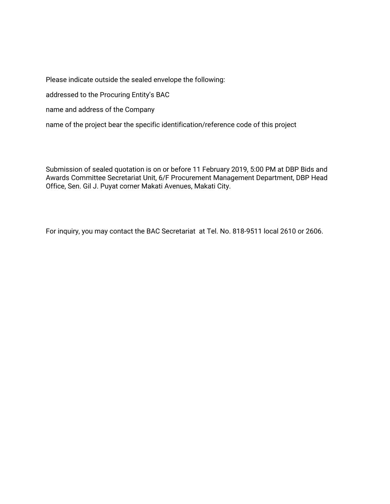Please indicate outside the sealed envelope the following:

addressed to the Procuring Entity's BAC

name and address of the Company

name of the project bear the specific identification/reference code of this project

Submission of sealed quotation is on or before 11 February 2019, 5:00 PM at DBP Bids and Awards Committee Secretariat Unit, 6/F Procurement Management Department, DBP Head Office, Sen. Gil J. Puyat corner Makati Avenues, Makati City.

For inquiry, you may contact the BAC Secretariat at Tel. No. 818-9511 local 2610 or 2606.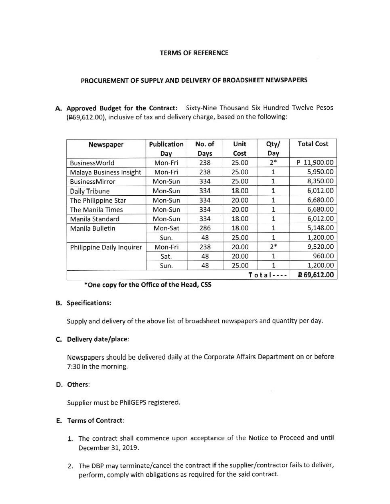#### **TERMS OF REFERENCE**

#### PROCUREMENT OF SUPPLY AND DELIVERY OF BROADSHEET NEWSPAPERS

A. Approved Budget for the Contract: Sixty-Nine Thousand Six Hundred Twelve Pesos (£69,612.00), inclusive of tax and delivery charge, based on the following:

| Newspaper                 | Publication<br>Day | No. of<br>Days | Unit<br>Cost | Qty/<br>Day  | <b>Total Cost</b> |
|---------------------------|--------------------|----------------|--------------|--------------|-------------------|
| <b>BusinessWorld</b>      | Mon-Fri            | 238            | 25.00        | $2*$         | P 11,900.00       |
| Malaya Business Insight   | Mon-Fri            | 238            | 25.00        | $\mathbf{1}$ | 5,950.00          |
| <b>BusinessMirror</b>     | Mon-Sun            | 334            | 25.00        | $\mathbf{1}$ | 8,350.00          |
| Daily Tribune             | Mon-Sun            | 334            | 18.00        | 1.           | 6,012.00          |
| The Philippine Star       | Mon-Sun            | 334            | 20.00        | 1            | 6,680.00          |
| <b>The Manila Times</b>   | Mon-Sun            | 334            | 20.00        | 1            | 6,680.00          |
| Manila Standard           | Mon-Sun            | 334            | 18.00        |              | 6,012.00          |
| Manila Bulletin           | Mon-Sat            | 286            | 18.00        |              | 5,148.00          |
|                           | Sun.               | 48             | 25.00        |              | 1,200.00          |
| Philippine Daily Inquirer | Mon-Fri            | 238            | 20.00        | $2*$         | 9,520.00          |
|                           | Sat.               | 48             | 20.00        |              | 960.00            |
|                           | Sun.               | 48             | 25.00        |              | 1,200.00          |
| Tota                      |                    |                |              |              | ₽ 69,612.00       |

## \*One copy for the Office of the Head, CSS

### **B.** Specifications:

Supply and delivery of the above list of broadsheet newspapers and quantity per day.

### C. Delivery date/place:

Newspapers should be delivered daily at the Corporate Affairs Department on or before 7:30 in the morning.

### D. Others:

Supplier must be PhilGEPS registered.

## E. Terms of Contract:

- 1. The contract shall commence upon acceptance of the Notice to Proceed and until December 31, 2019.
- 2. The DBP may terminate/cancel the contract if the supplier/contractor fails to deliver, perform, comply with obligations as required for the said contract.